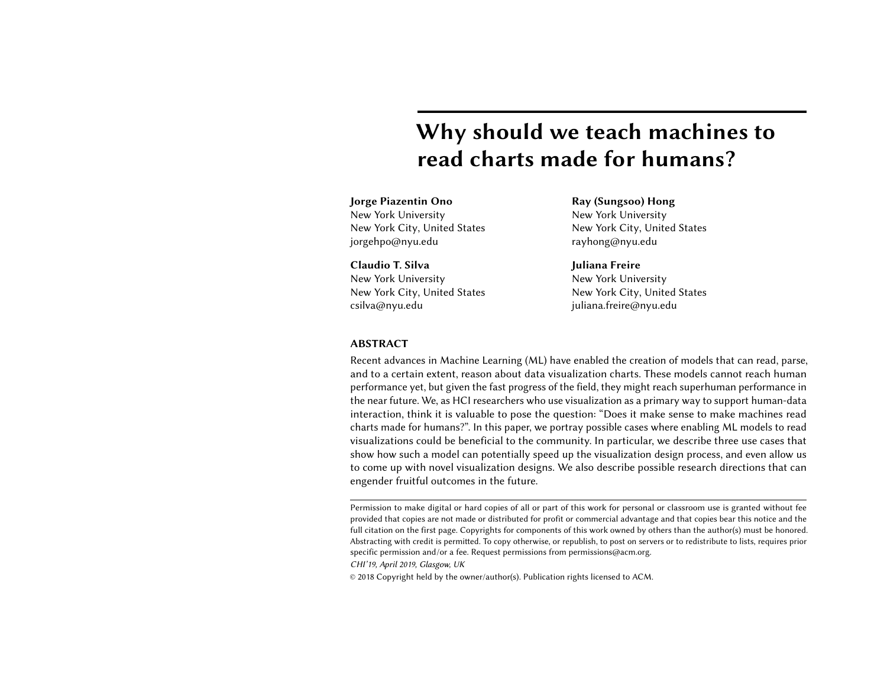# Why should we teach machines to read charts made for humans?

## Jorge Piazentin Ono New York University

New York City, United States jorgehpo@nyu.edu

Claudio T. Silva New York University New York City, United States csilva@nyu.edu

Ray (Sungsoo) Hong New York University New York City, United States rayhong@nyu.edu

### Juliana Freire New York University New York City, United States juliana.freire@nyu.edu

#### ABSTRACT

Recent advances in Machine Learning (ML) have enabled the creation of models that can read, parse, and to a certain extent, reason about data visualization charts. These models cannot reach human performance yet, but given the fast progress of the field, they might reach superhuman performance in the near future. We, as HCI researchers who use visualization as a primary way to support human-data interaction, think it is valuable to pose the question: "Does it make sense to make machines read charts made for humans?". In this paper, we portray possible cases where enabling ML models to read visualizations could be beneficial to the community. In particular, we describe three use cases that show how such a model can potentially speed up the visualization design process, and even allow us to come up with novel visualization designs. We also describe possible research directions that can engender fruitful outcomes in the future.

CHI'19, April 2019, Glasgow, UK

© 2018 Copyright held by the owner/author(s). Publication rights licensed to ACM.

Permission to make digital or hard copies of all or part of this work for personal or classroom use is granted without fee provided that copies are not made or distributed for profit or commercial advantage and that copies bear this notice and the full citation on the first page. Copyrights for components of this work owned by others than the author(s) must be honored. Abstracting with credit is permitted. To copy otherwise, or republish, to post on servers or to redistribute to lists, requires prior specific permission and/or a fee. Request permissions from permissions@acm.org.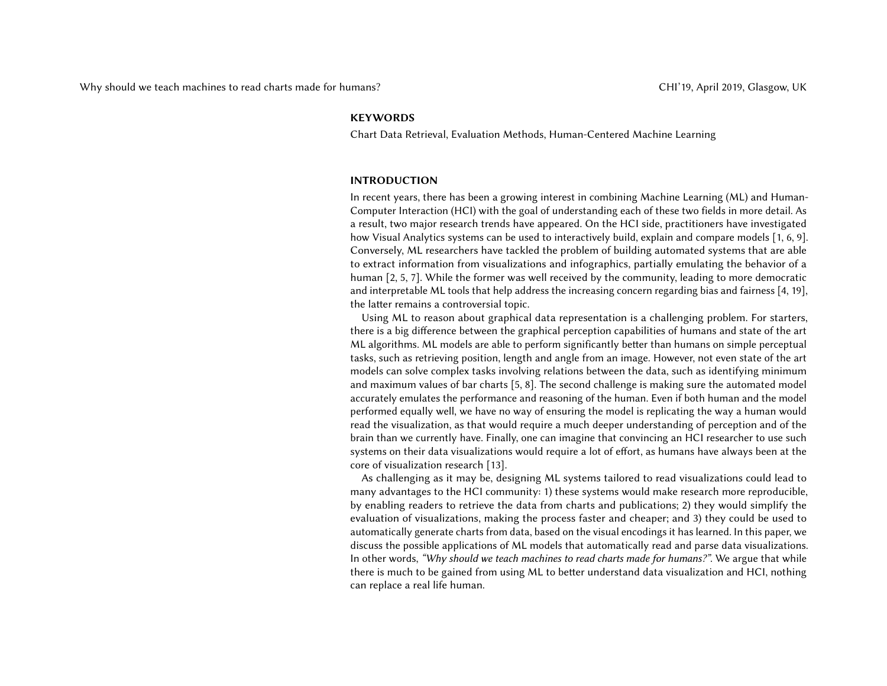#### **KEYWORDS**

Chart Data Retrieval, Evaluation Methods, Human-Centered Machine Learning

#### INTRODUCTION

In recent years, there has been a growing interest in combining Machine Learning (ML) and Human-Computer Interaction (HCI) with the goal of understanding each of these two fields in more detail. As a result, two major research trends have appeared. On the HCI side, practitioners have investigated how Visual Analytics systems can be used to interactively build, explain and compare models [\[1,](#page-5-0) [6,](#page-5-1) [9\]](#page-5-2). Conversely, ML researchers have tackled the problem of building automated systems that are able to extract information from visualizations and infographics, partially emulating the behavior of a human [\[2,](#page-5-3) [5,](#page-5-4) [7\]](#page-5-5). While the former was well received by the community, leading to more democratic and interpretable ML tools that help address the increasing concern regarding bias and fairness [\[4,](#page-5-6) [19\]](#page-5-7), the latter remains a controversial topic.

Using ML to reason about graphical data representation is a challenging problem. For starters, there is a big difference between the graphical perception capabilities of humans and state of the art ML algorithms. ML models are able to perform significantly better than humans on simple perceptual tasks, such as retrieving position, length and angle from an image. However, not even state of the art models can solve complex tasks involving relations between the data, such as identifying minimum and maximum values of bar charts [\[5,](#page-5-4) [8\]](#page-5-8). The second challenge is making sure the automated model accurately emulates the performance and reasoning of the human. Even if both human and the model performed equally well, we have no way of ensuring the model is replicating the way a human would read the visualization, as that would require a much deeper understanding of perception and of the brain than we currently have. Finally, one can imagine that convincing an HCI researcher to use such systems on their data visualizations would require a lot of effort, as humans have always been at the core of visualization research [\[13\]](#page-5-9).

As challenging as it may be, designing ML systems tailored to read visualizations could lead to many advantages to the HCI community: 1) these systems would make research more reproducible, by enabling readers to retrieve the data from charts and publications; 2) they would simplify the evaluation of visualizations, making the process faster and cheaper; and 3) they could be used to automatically generate charts from data, based on the visual encodings it has learned. In this paper, we discuss the possible applications of ML models that automatically read and parse data visualizations. In other words, "Why should we teach machines to read charts made for humans?". We argue that while there is much to be gained from using ML to better understand data visualization and HCI, nothing can replace a real life human.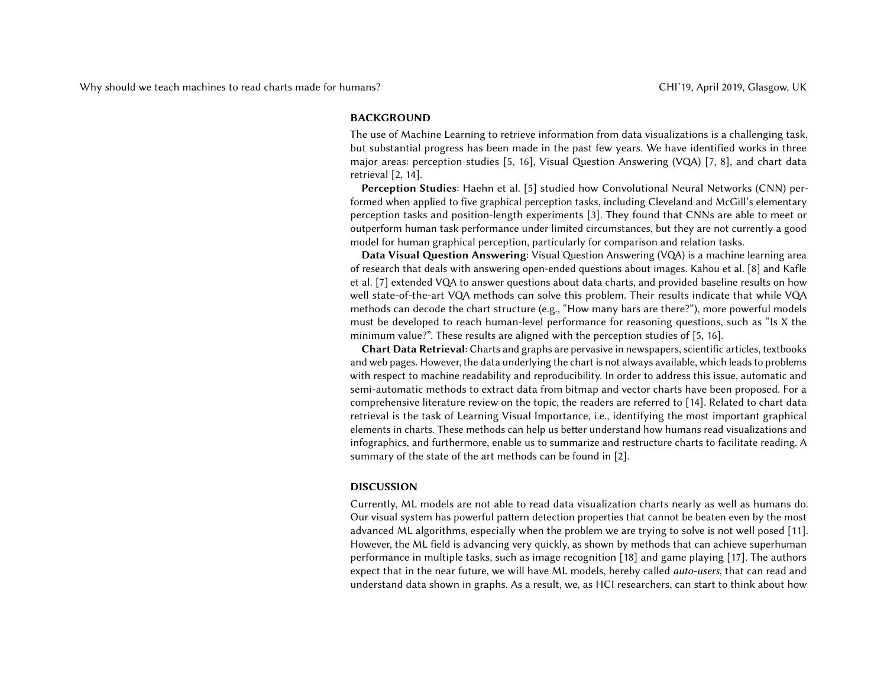#### BACKGROUND

The use of Machine Learning to retrieve information from data visualizations is a challenging task, but substantial progress has been made in the past few years. We have identified works in three major areas: perception studies [\[5,](#page-5-4) [16\]](#page-5-10), Visual Question Answering (VQA) [\[7,](#page-5-5) [8\]](#page-5-8), and chart data retrieval [\[2,](#page-5-3) [14\]](#page-5-11).

Perception Studies: Haehn et al. [\[5\]](#page-5-4) studied how Convolutional Neural Networks (CNN) performed when applied to five graphical perception tasks, including Cleveland and McGill's elementary perception tasks and position-length experiments [\[3\]](#page-5-12). They found that CNNs are able to meet or outperform human task performance under limited circumstances, but they are not currently a good model for human graphical perception, particularly for comparison and relation tasks.

Data Visual Question Answering: Visual Question Answering (VQA) is a machine learning area of research that deals with answering open-ended questions about images. Kahou et al. [\[8\]](#page-5-8) and Kafle et al. [\[7\]](#page-5-5) extended VQA to answer questions about data charts, and provided baseline results on how well state-of-the-art VQA methods can solve this problem. Their results indicate that while VQA methods can decode the chart structure (e.g., "How many bars are there?"), more powerful models must be developed to reach human-level performance for reasoning questions, such as "Is X the minimum value?". These results are aligned with the perception studies of [\[5,](#page-5-4) [16\]](#page-5-10).

Chart Data Retrieval: Charts and graphs are pervasive in newspapers, scientific articles, textbooks and web pages. However, the data underlying the chart is not always available, which leads to problems with respect to machine readability and reproducibility. In order to address this issue, automatic and semi-automatic methods to extract data from bitmap and vector charts have been proposed. For a comprehensive literature review on the topic, the readers are referred to [\[14\]](#page-5-11). Related to chart data retrieval is the task of Learning Visual Importance, i.e., identifying the most important graphical elements in charts. These methods can help us better understand how humans read visualizations and infographics, and furthermore, enable us to summarize and restructure charts to facilitate reading. A summary of the state of the art methods can be found in [\[2\]](#page-5-3).

#### DISCUSSION

Currently, ML models are not able to read data visualization charts nearly as well as humans do. Our visual system has powerful pattern detection properties that cannot be beaten even by the most advanced ML algorithms, especially when the problem we are trying to solve is not well posed [\[11\]](#page-5-13). However, the ML field is advancing very quickly, as shown by methods that can achieve superhuman performance in multiple tasks, such as image recognition [\[18\]](#page-5-14) and game playing [\[17\]](#page-5-15). The authors expect that in the near future, we will have ML models, hereby called auto-users, that can read and understand data shown in graphs. As a result, we, as HCI researchers, can start to think about how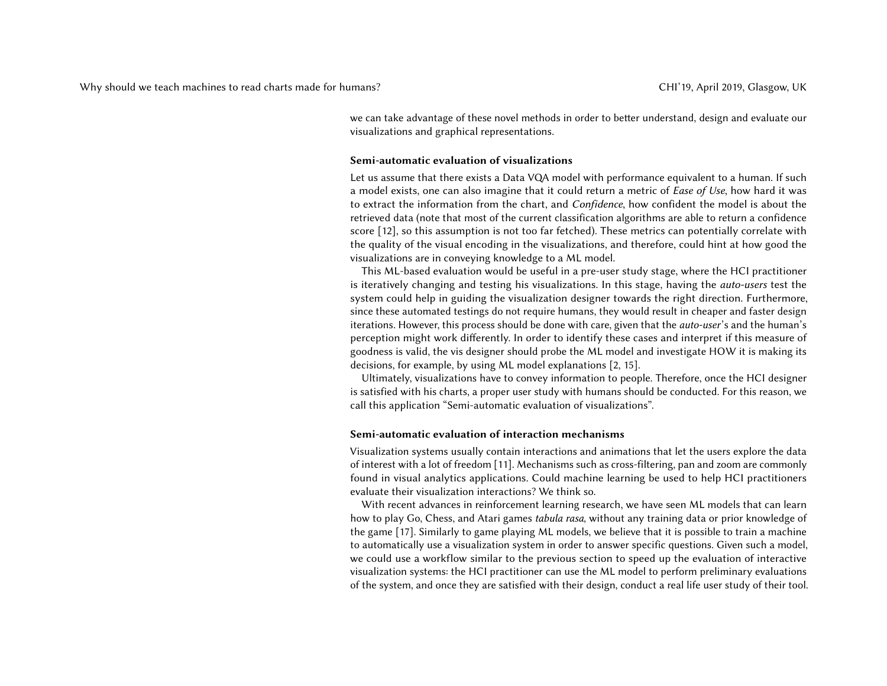we can take advantage of these novel methods in order to better understand, design and evaluate our visualizations and graphical representations.

#### Semi-automatic evaluation of visualizations

Let us assume that there exists a Data VQA model with performance equivalent to a human. If such a model exists, one can also imagine that it could return a metric of Ease of Use, how hard it was to extract the information from the chart, and Confidence, how confident the model is about the retrieved data (note that most of the current classification algorithms are able to return a confidence score [\[12\]](#page-5-16), so this assumption is not too far fetched). These metrics can potentially correlate with the quality of the visual encoding in the visualizations, and therefore, could hint at how good the visualizations are in conveying knowledge to a ML model.

This ML-based evaluation would be useful in a pre-user study stage, where the HCI practitioner is iteratively changing and testing his visualizations. In this stage, having the *auto-users* test the system could help in guiding the visualization designer towards the right direction. Furthermore, since these automated testings do not require humans, they would result in cheaper and faster design iterations. However, this process should be done with care, given that the *auto-user's* and the human's perception might work differently. In order to identify these cases and interpret if this measure of goodness is valid, the vis designer should probe the ML model and investigate HOW it is making its decisions, for example, by using ML model explanations [\[2,](#page-5-3) [15\]](#page-5-17).

Ultimately, visualizations have to convey information to people. Therefore, once the HCI designer is satisfied with his charts, a proper user study with humans should be conducted. For this reason, we call this application "Semi-automatic evaluation of visualizations".

#### Semi-automatic evaluation of interaction mechanisms

Visualization systems usually contain interactions and animations that let the users explore the data of interest with a lot of freedom [\[11\]](#page-5-13). Mechanisms such as cross-filtering, pan and zoom are commonly found in visual analytics applications. Could machine learning be used to help HCI practitioners evaluate their visualization interactions? We think so.

With recent advances in reinforcement learning research, we have seen ML models that can learn how to play Go, Chess, and Atari games tabula rasa, without any training data or prior knowledge of the game [\[17\]](#page-5-15). Similarly to game playing ML models, we believe that it is possible to train a machine to automatically use a visualization system in order to answer specific questions. Given such a model, we could use a workflow similar to the previous section to speed up the evaluation of interactive visualization systems: the HCI practitioner can use the ML model to perform preliminary evaluations of the system, and once they are satisfied with their design, conduct a real life user study of their tool.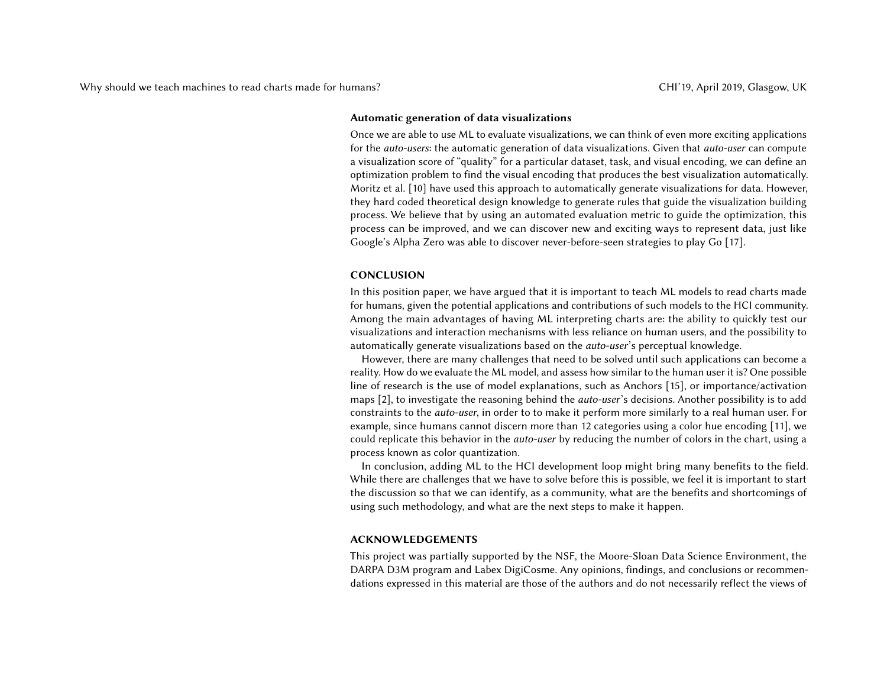#### Automatic generation of data visualizations

Once we are able to use ML to evaluate visualizations, we can think of even more exciting applications for the *auto-users*: the automatic generation of data visualizations. Given that *auto-user* can compute a visualization score of "quality" for a particular dataset, task, and visual encoding, we can define an optimization problem to find the visual encoding that produces the best visualization automatically. Moritz et al. [\[10\]](#page-5-18) have used this approach to automatically generate visualizations for data. However, they hard coded theoretical design knowledge to generate rules that guide the visualization building process. We believe that by using an automated evaluation metric to guide the optimization, this process can be improved, and we can discover new and exciting ways to represent data, just like Google's Alpha Zero was able to discover never-before-seen strategies to play Go [\[17\]](#page-5-15).

#### CONCLUSION

In this position paper, we have argued that it is important to teach ML models to read charts made for humans, given the potential applications and contributions of such models to the HCI community. Among the main advantages of having ML interpreting charts are: the ability to quickly test our visualizations and interaction mechanisms with less reliance on human users, and the possibility to automatically generate visualizations based on the *auto-user's* perceptual knowledge.

However, there are many challenges that need to be solved until such applications can become a reality. How do we evaluate the ML model, and assess how similar to the human user it is? One possible line of research is the use of model explanations, such as Anchors [\[15\]](#page-5-17), or importance/activation maps [\[2\]](#page-5-3), to investigate the reasoning behind the *auto-user's* decisions. Another possibility is to add constraints to the auto-user, in order to to make it perform more similarly to a real human user. For example, since humans cannot discern more than 12 categories using a color hue encoding [\[11\]](#page-5-13), we could replicate this behavior in the *auto-user* by reducing the number of colors in the chart, using a process known as color quantization.

In conclusion, adding ML to the HCI development loop might bring many benefits to the field. While there are challenges that we have to solve before this is possible, we feel it is important to start the discussion so that we can identify, as a community, what are the benefits and shortcomings of using such methodology, and what are the next steps to make it happen.

#### ACKNOWLEDGEMENTS

This project was partially supported by the NSF, the Moore-Sloan Data Science Environment, the DARPA D3M program and Labex DigiCosme. Any opinions, findings, and conclusions or recommendations expressed in this material are those of the authors and do not necessarily reflect the views of